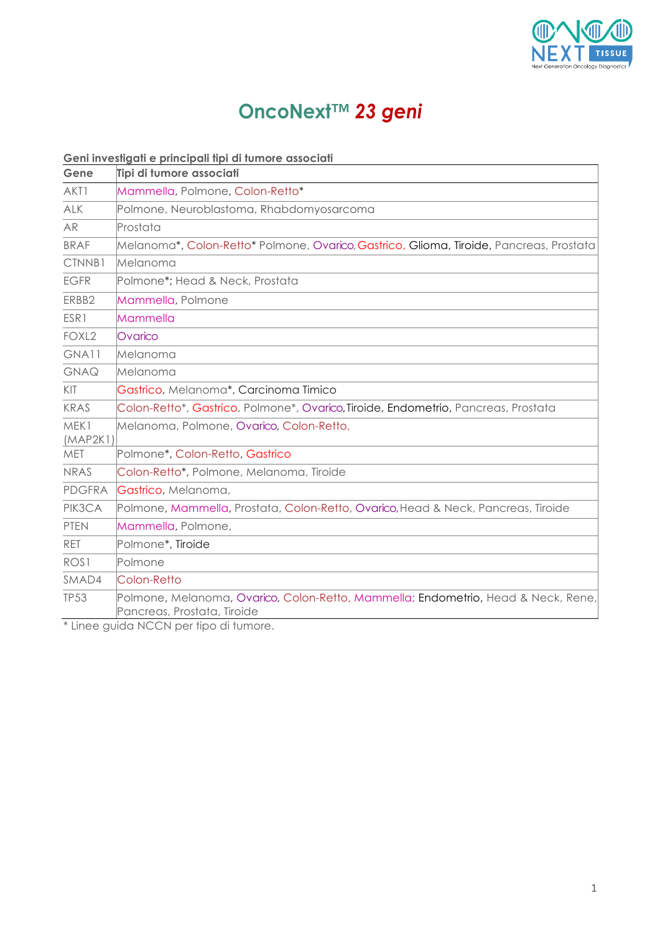

## **OncoNext***™ 23 geni*

## **Geni investigati e principali tipi di tumore associati**

| Gene              | Tipi di tumore associati                                                                                         |
|-------------------|------------------------------------------------------------------------------------------------------------------|
| AKT1              | Mammella, Polmone, Colon-Retto*                                                                                  |
| <b>ALK</b>        | Polmone, Neuroblastoma, Rhabdomyosarcoma                                                                         |
| <b>AR</b>         | Prostata                                                                                                         |
| <b>BRAF</b>       | Melanoma*, Colon-Retto* Polmone, Ovarico, Gastrico, Glioma, Tiroide, Pancreas, Prostata                          |
| CTNNB1            | Melanoma                                                                                                         |
| <b>EGFR</b>       | Polmone*; Head & Neck, Prostata                                                                                  |
| ERBB2             | Mammella, Polmone                                                                                                |
| ESR1              | Mammella                                                                                                         |
| FOXL <sub>2</sub> | Ovarico                                                                                                          |
| GNA11             | Melanoma                                                                                                         |
| GNAQ              | Melanoma                                                                                                         |
| KIT               | Gastrico, Melanoma*, Carcinoma Timico                                                                            |
| KRAS              | Colon-Retto*, Gastrico, Polmone*, Ovarico, Tiroide, Endometrio, Pancreas, Prostata                               |
| MEK1<br>(MAP2K1)  | Melanoma, Polmone, Ovarico, Colon-Retto,                                                                         |
| <b>MET</b>        | Polmone*, Colon-Retto, Gastrico                                                                                  |
| <b>NRAS</b>       | Colon-Retto*, Polmone, Melanoma, Tiroide                                                                         |
| <b>PDGFRA</b>     | Gastrico, Melanoma,                                                                                              |
| PIK3CA            | Polmone, Mammella, Prostata, Colon-Retto, Ovarico, Head & Neck, Pancreas, Tiroide                                |
| <b>PTEN</b>       | Mammella, Polmone,                                                                                               |
| RET               | Polmone*, Tiroide                                                                                                |
| ROS <sub>1</sub>  | Polmone                                                                                                          |
| SMAD4             | Colon-Retto                                                                                                      |
| <b>TP53</b>       | Polmone, Melanoma, Ovarico, Colon-Retto, Mammella; Endometrio, Head & Neck, Rene,<br>Pancreas, Prostata, Tiroide |

\* Linee guida NCCN per tipo di tumore.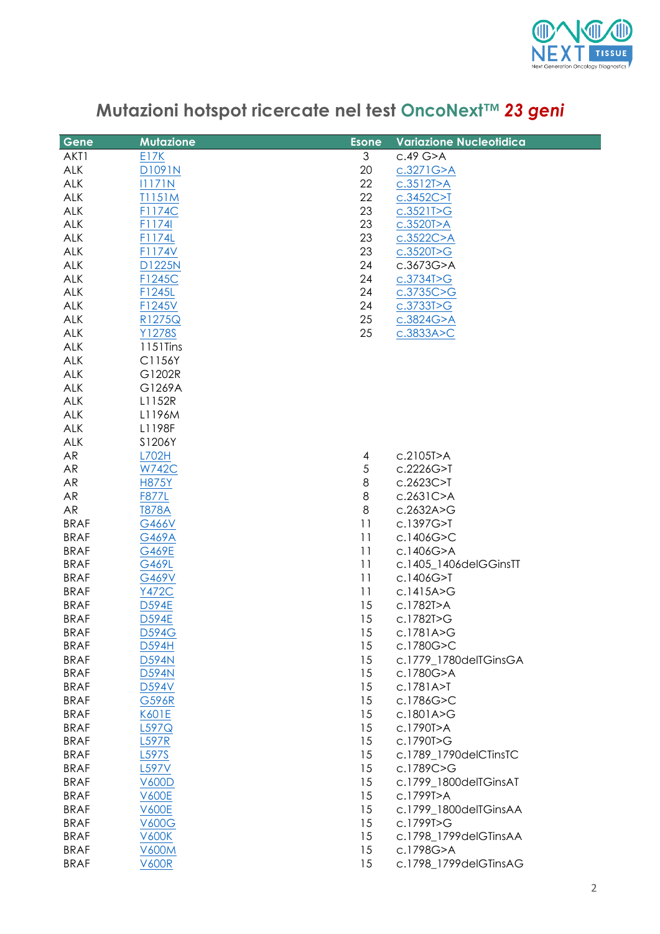

| Mutazioni hotspot ricercate nel test OncoNext™ 23 geni |  |
|--------------------------------------------------------|--|
|--------------------------------------------------------|--|

| Gene        | <b>Mutazione</b> | <b>Esone</b> | <b>Variazione Nucleotidica</b> |
|-------------|------------------|--------------|--------------------------------|
| AKT1        | E17K             | 3            | c.49 G>A                       |
| ALK         | D1091N           | 20           | c.3271G > A                    |
| <b>ALK</b>  | 11171N           | 22           | c.3512T>A                      |
| <b>ALK</b>  | T1151M           | 22           | c.3452C > T                    |
| <b>ALK</b>  | F1174C           | 23           | c.3521T>G                      |
| ALK         | F1174I           | 23           | c.3520T>A                      |
| <b>ALK</b>  |                  | 23           |                                |
|             | F1174L           |              | c.3522C > A                    |
| <b>ALK</b>  | F1174V           | 23           | c.3520T>G                      |
| <b>ALK</b>  | <b>D1225N</b>    | 24           | c.3673G>A                      |
| <b>ALK</b>  | F1245C           | 24           | c.3734T > G                    |
| <b>ALK</b>  | F1245L           | 24           | c.3735C > G                    |
| ALK         | F1245V           | 24           | c.37337 > G                    |
| <b>ALK</b>  | R1275Q           | 25           | c.3824G > A                    |
| <b>ALK</b>  | Y1278S           | 25           | c.3833A > C                    |
| <b>ALK</b>  | 1151Tins         |              |                                |
| <b>ALK</b>  | C1156Y           |              |                                |
| ALK         | G1202R           |              |                                |
| <b>ALK</b>  | G1269A           |              |                                |
| <b>ALK</b>  | L1152R           |              |                                |
| <b>ALK</b>  | L1196M           |              |                                |
| <b>ALK</b>  | L1198F           |              |                                |
| <b>ALK</b>  | S1206Y           |              |                                |
| AR          | L702H            | 4            | c.2105T>A                      |
| AR          | <b>W742C</b>     | $\sqrt{5}$   | c.2226G>T                      |
| AR          | <b>H875Y</b>     | 8            | c.2623C>T                      |
| <b>AR</b>   | <b>F877L</b>     | 8            | c.2631C>A                      |
| <b>AR</b>   | <b>T878A</b>     | $\,8\,$      | c.2632A>G                      |
| <b>BRAF</b> | G466V            | 11           | c.1397G>T                      |
| <b>BRAF</b> | <b>G469A</b>     | 11           | c.1406G>C                      |
| <b>BRAF</b> | G469E            | 11           | c.1406G>A                      |
| <b>BRAF</b> | G469L            | 11           | c.1405_1406delGGinsTT          |
| <b>BRAF</b> | G469V            | 11           | c.1406G>T                      |
| <b>BRAF</b> | <b>Y472C</b>     | 11           | c.1415A>G                      |
| <b>BRAF</b> | <b>D594E</b>     | 15           | c.1782T>A                      |
| <b>BRAF</b> | <b>D594E</b>     | 15           | c.1782T>G                      |
| <b>BRAF</b> | <b>D594G</b>     | 15           | c.1781A>G                      |
| <b>BRAF</b> | D594H            | 15           | c.1780G>C                      |
| <b>BRAF</b> | <b>D594N</b>     | 15           | c.1779 1780delTGinsGA          |
| <b>BRAF</b> | <b>D594N</b>     | 15           | c.1780G>A                      |
| <b>BRAF</b> | D594V            | 15           | c.1781A > T                    |
| <b>BRAF</b> | G596R            | 15           | c.1786G>C                      |
| <b>BRAF</b> | K601E            | 15           | c.1801A>G                      |
| <b>BRAF</b> | L597Q            | 15           | c.1790T>A                      |
| <b>BRAF</b> | <b>L597R</b>     | 15           | c.1790T>G                      |
| <b>BRAF</b> | L597S            | 15           | c.1789_1790delCTinsTC          |
| <b>BRAF</b> | L597V            | 15           | c.1789C>G                      |
| <b>BRAF</b> | <b>V600D</b>     | 15           | c.1799_1800delTGinsAT          |
| <b>BRAF</b> | <b>V600E</b>     | 15           | c.1799T>A                      |
| <b>BRAF</b> | <b>V600E</b>     | 15           | c.1799_1800delTGinsAA          |
| <b>BRAF</b> | <b>V600G</b>     | 15           | c.1799T>G                      |
| <b>BRAF</b> | <b>V600K</b>     | 15           | c.1798_1799delGTinsAA          |
| <b>BRAF</b> | <b>V600M</b>     | 15           | c.1798G>A                      |
| <b>BRAF</b> | <b>V600R</b>     | 15           | c.1798_1799delGTinsAG          |
|             |                  |              |                                |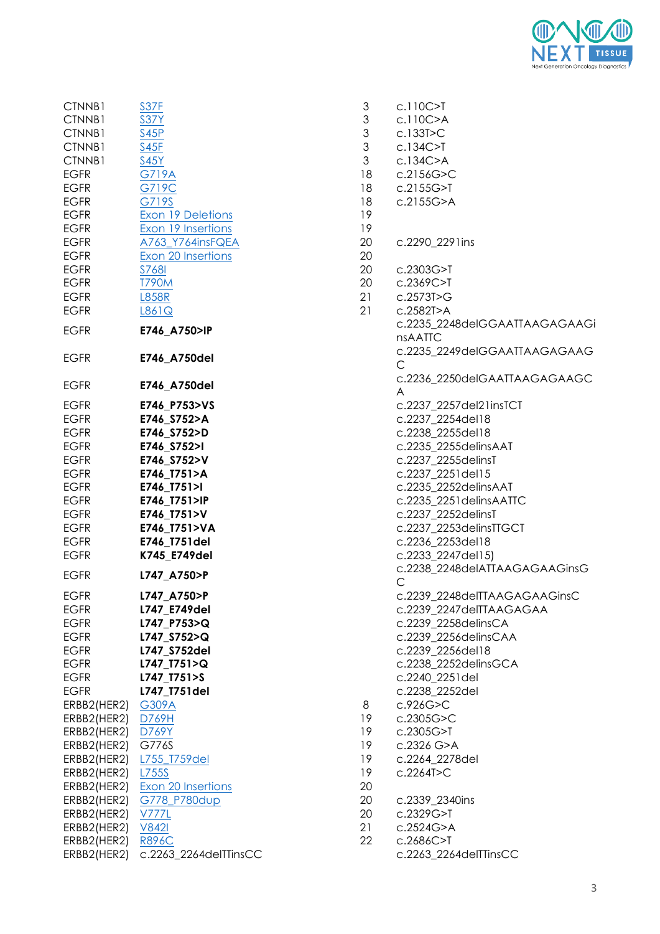

| CTNNB1      | S37F                     | $\ensuremath{\mathsf{3}}$ | c.110C>T               |
|-------------|--------------------------|---------------------------|------------------------|
| CTNNB1      | <b>S37Y</b>              | 3                         | c.110C>A               |
| CTNNB1      | S45P                     | $\ensuremath{\mathsf{3}}$ | c.133T > C             |
| CTNNB1      | S45F                     | $\mathfrak{S}$            | $c.134C>$ T            |
| CTNNB1      | <b>S45Y</b>              | $\mathfrak{S}$            | c.134C > A             |
| <b>EGFR</b> | <b>G719A</b>             | 18                        | c.2156G>C              |
| <b>EGFR</b> | G719C                    | 18                        | c.2155G > T            |
| <b>EGFR</b> | G719S                    | 18                        | c.2155G>A              |
| <b>EGFR</b> | <b>Exon 19 Deletions</b> | 19                        |                        |
| <b>EGFR</b> | Exon 19 Insertions       | 19                        |                        |
| <b>EGFR</b> | A763_Y764insFQEA         | 20                        | c.2290_2291ins         |
| <b>EGFR</b> | Exon 20 Insertions       | 20                        |                        |
| <b>EGFR</b> | <b>S768I</b>             | 20                        | c.2303G>T              |
| <b>EGFR</b> | <b>T790M</b>             | 20                        | c.2369C>T              |
| <b>EGFR</b> | <b>L858R</b>             | 21                        | c.2573T>G              |
| <b>EGFR</b> | L861Q                    | 21                        | c.2582T>A              |
|             |                          |                           | c.2235_2248delGGAATT,  |
| <b>EGFR</b> | E746_A750>IP             |                           |                        |
|             |                          |                           | <b>nsAATTC</b>         |
| <b>EGFR</b> | E746_A750del             |                           | c.2235_2249delGGAATT,  |
|             |                          |                           | $\mathsf{C}$           |
| <b>EGFR</b> | E746_A750del             |                           | c.2236_2250delGAATTA/  |
|             |                          |                           | A                      |
| <b>EGFR</b> | E746 P753>VS             |                           | c.2237_2257del21insTCT |
| <b>EGFR</b> | E746 S752>A              |                           | c.2237 2254del18       |
| <b>EGFR</b> | E746_S752>D              |                           | c.2238_2255del18       |
| <b>EGFR</b> | E746_S752>I              |                           | c.2235_2255delinsAAT   |
| <b>EGFR</b> | E746_S752>V              |                           | c.2237_2255delinsT     |
| <b>EGFR</b> | E746_T751>A              |                           | c.2237_2251del15       |
| <b>EGFR</b> | E746_T751>I              |                           | c.2235_2252delinsAAT   |
| <b>EGFR</b> | E746_T751>IP             |                           | c.2235_2251delinsAATTC |
| <b>EGFR</b> | E746_T751>V              |                           | c.2237_2252delinsT     |
| <b>EGFR</b> | E746_T751>VA             |                           | c.2237_2253delinsTTGCT |
| <b>EGFR</b> | E746_T751del             |                           | c.2236_2253del18       |
| <b>EGFR</b> | K745 E749del             |                           | c.2233_2247del15)      |
| <b>EGFR</b> | L747_A750>P              |                           | c.2238_2248delATTAAG/  |
|             |                          |                           | $\mathsf{C}$           |
| <b>EGFR</b> | L747_A750>P              |                           | c.2239_2248delTTAAGA   |
| EGFR        | L747_E749del             |                           | c.2239_2247delTTAAGA0  |
| <b>EGFR</b> | L747_P753>Q              |                           | c.2239_2258delinsCA    |
| <b>EGFR</b> | L747 S752>Q              |                           | c.2239_2256delinsCAA   |
| <b>EGFR</b> | L747 S752del             |                           | c.2239_2256del18       |
| <b>EGFR</b> | L747_T751>Q              |                           | c.2238_2252delinsGCA   |
| <b>EGFR</b> | L747_T751>S              |                           | c.2240_2251del         |
| <b>EGFR</b> | L747_T751del             |                           | c.2238_2252del         |
| ERBB2(HER2) | G309A                    | 8                         | c.926G>C               |
| ERBB2(HER2) | D769H                    | 19                        | c.2305G>C              |
| ERBB2(HER2) | D769Y                    | 19                        | c.2305G>T              |
| ERBB2(HER2) | G776S                    | 19                        | c.2326 G>A             |
| ERBB2(HER2) | L755_T759del             | 19                        | c.2264_2278del         |
| ERBB2(HER2) | L755S                    | 19                        | c.2264T>C              |
| ERBB2(HER2) | Exon 20 Insertions       | 20                        |                        |
| ERBB2(HER2) | G778_P780dup             | 20                        | c.2339_2340ins         |
| ERBB2(HER2) | V777L                    | 20                        | c.2329G>T              |
| ERBB2(HER2) | <b>V842I</b>             | 21                        | c.2524G>A              |
| ERBB2(HER2) | <b>R896C</b>             | 22                        | $c.2686C>$ T           |
| ERBB2(HER2) | c.2263_2264delTTinsCC    |                           | c.2263_2264delTTinsCC  |
|             |                          |                           |                        |

| CINNBI      | 537F                      | J                                                                                                      | C.110C>1                                   |
|-------------|---------------------------|--------------------------------------------------------------------------------------------------------|--------------------------------------------|
| CTNNB1      | <b>S37Y</b>               | $\ensuremath{\mathsf{3}}$                                                                              | c.110C>A                                   |
| CTNNB1      | S45P                      | $\mathfrak{S}% _{A}^{\ast}=\mathfrak{S}_{A}\!\left( A;B\right) ,\ \mathfrak{S}_{A}\!\left( A;B\right)$ | c.133T > C                                 |
| CTNNB1      | S45F                      | $\mathfrak 3$                                                                                          | $c.134C>$ T                                |
| CTNNB1      | <b>S45Y</b>               | 3                                                                                                      | c.134C>A                                   |
| EGFR        | <b>G719A</b>              | 18                                                                                                     | c.2156G > C                                |
| EGFR        | G719C                     | 18                                                                                                     | c.2155G > T                                |
| EGFR        | G719S                     | 18                                                                                                     | c.2155G > A                                |
| EGFR        | <b>Exon 19 Deletions</b>  | 19                                                                                                     |                                            |
| EGFR        | <b>Exon 19 Insertions</b> | 19                                                                                                     |                                            |
|             |                           | 20                                                                                                     | c.2290 2291ins                             |
| EGFR        | A763_Y764insFQEA          |                                                                                                        |                                            |
| EGFR        | Exon 20 Insertions        | 20                                                                                                     |                                            |
| EGFR        | <b>S768I</b>              | 20                                                                                                     | c.2303G>T                                  |
| EGFR        | <b>T790M</b>              | 20                                                                                                     | c.2369C>T                                  |
| <b>EGFR</b> | <b>L858R</b>              | 21                                                                                                     | c.2573T > G                                |
| EGFR        | L861Q                     | 21                                                                                                     | c.2582T>A                                  |
| <b>EGFR</b> | E746_A750>IP              |                                                                                                        | c.2235_2248delGGAATTAAGAGAAG               |
|             |                           |                                                                                                        | <b>nsAATTC</b>                             |
| <b>EGFR</b> | E746_A750del              |                                                                                                        | c.2235_2249delGGAATTAAGAGAAG<br>C          |
| EGFR        | E746_A750del              |                                                                                                        | c.2236_2250delGAATTAAGAGAAGC<br>A          |
| EGFR        | E746_P753>VS              |                                                                                                        | c.2237_2257del21insTCT                     |
| <b>EGFR</b> | E746_S752>A               |                                                                                                        | c.2237 2254del18                           |
| <b>EGFR</b> | E746_S752>D               |                                                                                                        | c.2238_2255del18                           |
|             |                           |                                                                                                        |                                            |
| EGFR        | E746_S752>I               |                                                                                                        | c.2235_2255delinsAAT                       |
| EGFR        | E746_S752>V               |                                                                                                        | c.2237_2255delinsT                         |
| EGFR        | E746_T751>A               |                                                                                                        | c.2237_2251del15                           |
| EGFR        | E746_T751>I               |                                                                                                        | c.2235_2252delinsAAT                       |
| <b>EGFR</b> | E746_T751>IP              |                                                                                                        | c.2235_2251delinsAATTC                     |
| EGFR        | E746_T751>V               |                                                                                                        | c.2237_2252delinsT                         |
| EGFR        | E746_T751>VA              |                                                                                                        | c.2237_2253delinsTTGCT                     |
| EGFR        | E746_T751del              |                                                                                                        | c.2236_2253del18                           |
| EGFR        | K745 E749del              |                                                                                                        | c.2233_2247del15)                          |
| EGFR        | L747_A750>P               |                                                                                                        | c.2238_2248delATTAAGAGAAGinsG<br>$\subset$ |
| EGFR        | L747 A750>P               |                                                                                                        | c.2239_2248delTTAAGAGAAGinsC               |
| EGFR        | L747_E749del              |                                                                                                        | c.2239_2247delTTAAGAGAA                    |
| EGFR        | L747_P753>Q               |                                                                                                        | c.2239 2258delinsCA                        |
| EGFR        | L747_S752>Q               |                                                                                                        | c.2239_2256delinsCAA                       |
| <b>EGFR</b> | L747_S752del              |                                                                                                        | c.2239_2256del18                           |
| EGFR        |                           |                                                                                                        | c.2238_2252delinsGCA                       |
|             | L747_T751>Q               |                                                                                                        |                                            |
| EGFR        | L747_T751>S               |                                                                                                        | c.2240_2251del                             |
| EGFR        | L747_T751del              |                                                                                                        | c.2238_2252del                             |
| ERBB2(HER2) | G309A                     | 8                                                                                                      | c.926G>C                                   |
| ERBB2(HER2) | D769H                     | 19                                                                                                     | c.2305G>C                                  |
| ERBB2(HER2) | D769Y                     | 19                                                                                                     | c.2305G>T                                  |
| ERBB2(HER2) | G776S                     | 19                                                                                                     | c.2326 G>A                                 |
| ERBB2(HER2) | L755_T759del              | 19                                                                                                     | c.2264_2278del                             |
| ERBB2(HER2) | L755S                     | 19                                                                                                     | c.2264T>C                                  |
| ERBB2(HER2) | Exon 20 Insertions        | 20                                                                                                     |                                            |
| ERBB2(HER2) | G778_P780dup              | 20                                                                                                     | c.2339_2340ins                             |
| ERBB2(HER2) | <b>V777L</b>              | 20                                                                                                     | c.2329G>T                                  |
| ERBB2(HER2) | <b>V842I</b>              | 21                                                                                                     | c.2524G>A                                  |
| ERBB2(HER2) | <b>R896C</b>              | 22                                                                                                     | c.2686C>T                                  |
| ERBB2(HER2) | c.2263_2264delTTinsCC     |                                                                                                        | c.2263_2264delTTinsCC                      |
|             |                           |                                                                                                        |                                            |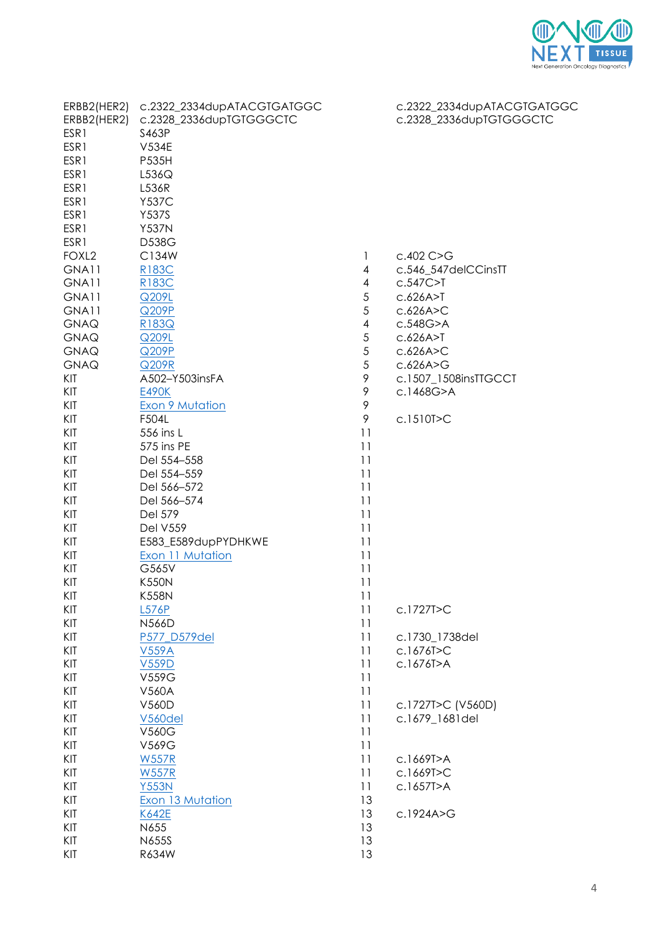

| ERBB2(HER2)       | c.2322_2334dupATACGTGATGGC |                          | c.2322_2334dupATACGTGATGGC |
|-------------------|----------------------------|--------------------------|----------------------------|
| ERBB2(HER2)       | c.2328_2336dupTGTGGGCTC    |                          | c.2328_2336dupTGTGGGCTC    |
| ESR1              | S463P                      |                          |                            |
| ESR1              | <b>V534E</b>               |                          |                            |
| ESR1              | P535H                      |                          |                            |
| ESR1              | L536Q                      |                          |                            |
| ESR1              | L536R                      |                          |                            |
| ESR1              | <b>Y537C</b>               |                          |                            |
| ESR1              | <b>Y537S</b>               |                          |                            |
| ESR1              | <b>Y537N</b>               |                          |                            |
| ESR1              | D538G                      |                          |                            |
| FOXL <sub>2</sub> | C134W                      | 1                        | $c.402$ C $>G$             |
| GNA11             | R183C                      | 4                        | c.546_547delCCinsTT        |
| GNA11             | R183C                      | 4                        | $c.547C>$ T                |
| GNA11             | Q209L                      | $\mathfrak s$            | C.626A > T                 |
| GNA11             | Q209P                      | 5                        | c.626A > C                 |
| <b>GNAQ</b>       | R183Q                      | $\overline{\mathcal{A}}$ | c.548G>A                   |
| <b>GNAQ</b>       | Q209L                      | 5                        | C.626A > T                 |
| <b>GNAQ</b>       | Q209P                      | 5                        | c.626A > C                 |
| <b>GNAQ</b>       | Q209R                      | $\mathfrak s$            | c.626A>G                   |
| KIT               | A502-Y503insFA             | 9                        | c.1507_1508insTTGCCT       |
| KIT               | <b>E490K</b>               | 9                        | c.1468G>A                  |
| KIT               | <b>Exon 9 Mutation</b>     | 9                        |                            |
| KIT               | F504L                      | 9                        | c.1510T>C                  |
| KIT               | 556 ins L                  | 11                       |                            |
| KIT               | 575 ins PE                 | 11                       |                            |
| KIT               | Del 554-558                | 11                       |                            |
| KIT               | Del 554-559                | 11                       |                            |
| KIT               | Del 566-572                | 11                       |                            |
| KIT               | Del 566-574                | 11                       |                            |
| KIT               | Del 579                    | 11                       |                            |
| KIT               | <b>Del V559</b>            | 11                       |                            |
| KIT               | E583_E589dupPYDHKWE        | 11                       |                            |
|                   |                            |                          |                            |
| KIT<br>KIT        | <b>Exon 11 Mutation</b>    | 11                       |                            |
|                   | G565V                      | 11                       |                            |
| KIT               | <b>K550N</b>               | 11                       |                            |
| KIT               | <b>K558N</b>               | 11                       |                            |
| KIT               | L576P                      | 11                       | c.1727T>C                  |
| KIT               | <b>N566D</b>               | 11                       |                            |
| KIT               | P577_D579del               | 11                       | c.1730_1738del             |
| KIT               | <b>V559A</b>               | 11                       | c.1676T>C                  |
| KIT               | <b>V559D</b>               | 11                       | c.1676T>A                  |
| KIT               | V559G                      | 11                       |                            |
| KIT               | V560A                      | 11                       |                            |
| KIT               | V560D                      | 11                       | c.1727T>C (V560D)          |
| KIT               | V560del                    | 11                       | c.1679_1681del             |
| KIT               | V560G                      | 11                       |                            |
| KIT               | V569G                      | 11                       |                            |
| KIT               | <b>W557R</b>               | 11                       | c.1669T>A                  |
| KIT               | <b>W557R</b>               | 11                       | c.1669T>C                  |
| KIT               | <b>Y553N</b>               | 11                       | c.1657T>A                  |
| KIT               | Exon 13 Mutation           | 13                       |                            |
| KIT               | K642E                      | 13                       | c.1924A>G                  |
| KIT               | N655                       | 13                       |                            |
| KIT               | N655S                      | 13                       |                            |
| KIT               | R634W                      | 13                       |                            |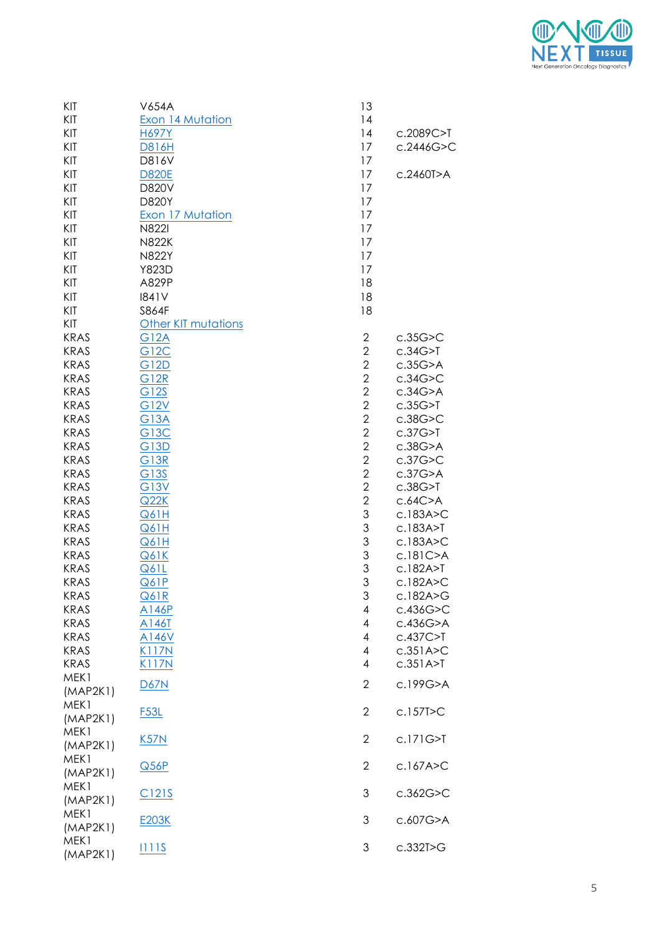

| KIT         | V654A                      | 13             |               |
|-------------|----------------------------|----------------|---------------|
| KIT         | Exon 14 Mutation           | 14             |               |
| KIT         | <b>H697Y</b>               | 4              | c.2089C>T     |
| KIT         | <b>D816H</b>               | 17             | c.2446G>C     |
| KIT         | D816V                      | 17             |               |
| KIT         | <b>D820E</b>               | 17             | c.2460T>A     |
| KIT         | D820V                      | 17             |               |
| KIT         | D820Y                      | 17             |               |
| KIT         | Exon 17 Mutation           | 17             |               |
| KIT         | <b>N822I</b>               | 17             |               |
| KIT         |                            |                |               |
|             | <b>N822K</b>               | 17             |               |
| KIT         | <b>N822Y</b>               | 17             |               |
| KIT         | Y823D                      | 17             |               |
| KIT         | A829P                      | 18             |               |
| KIT         | 1841V                      | 18             |               |
| KIT         | S864F                      | 18             |               |
| KIT         | <b>Other KIT mutations</b> |                |               |
| <b>KRAS</b> | <b>G12A</b>                | $\mathbf{2}$   | c.35G > C     |
| <b>KRAS</b> | <b>G12C</b>                | $\overline{2}$ | c.34G>7       |
| <b>KRAS</b> | <b>G12D</b>                | $\overline{2}$ | $c.35G$ > A   |
| <b>KRAS</b> | <b>G12R</b>                | $\overline{2}$ | c.34G > C     |
| <b>KRAS</b> | G12S                       | $\overline{2}$ | c.34G>A       |
| <b>KRAS</b> | <b>G12V</b>                | $\overline{2}$ | c.35G>7       |
| <b>KRAS</b> | <b>G13A</b>                | $\overline{2}$ | $c.38G$ > $C$ |
| <b>KRAS</b> | G13C                       | $\overline{2}$ | c.37G>7       |
| <b>KRAS</b> | <b>G13D</b>                | $\overline{2}$ | $c.38G$ > A   |
| <b>KRAS</b> | <b>G13R</b>                | $\overline{2}$ | c.37G>C       |
| <b>KRAS</b> | G13S                       | $\overline{2}$ | c.37G>A       |
| <b>KRAS</b> |                            | $\overline{2}$ |               |
|             | G13V                       |                | c.38G>7       |
| <b>KRAS</b> | Q22K                       | $\overline{2}$ | c.64C>A       |
| <b>KRAS</b> | Q61H                       | 3              | c.183A > C    |
| <b>KRAS</b> | Q61H                       | 3              | c.183A > T    |
| <b>KRAS</b> | Q61H                       | 3              | c.183A>C      |
| <b>KRAS</b> | Q61K                       | 3              | c.181C>A      |
| <b>KRAS</b> | Q61L                       | 3              | c.182A > T    |
| <b>KRAS</b> | Q61P                       | 3              | c.182A>C      |
| KRAS        | <b>Q61R</b>                | 3              | c.182A>G      |
| <b>KRAS</b> | A146P                      | 4              | c.436G > C    |
| <b>KRAS</b> | A146T                      | 4              | c.436G>A      |
| <b>KRAS</b> | A146V                      | 4              | $c.437C>$ T   |
| <b>KRAS</b> | <b>K117N</b>               | 4              | c.351A > C    |
| <b>KRAS</b> | <b>K117N</b>               | 4              | c.351A > T    |
| MEK1        |                            |                |               |
| (MAP2K1)    | <b>D67N</b>                | $\mathbf{2}$   | c.199G>A      |
| MEK1        |                            |                |               |
| (MAP2K1)    | <b>F53L</b>                | 2              | c.157T>C      |
| MEK1        |                            |                |               |
| (MAP2K1)    | K57N                       | 2              | c.171G>T      |
| MEK1        |                            |                |               |
|             | Q56P                       | $\mathbf{2}$   | c.167A > C    |
| (MAP2K1)    |                            |                |               |
| MEK1        | C121S                      | 3              | c.362G > C    |
| (MAP2K1)    |                            |                |               |
| MEK1        | E203K                      | 3              | c.607G>A      |
| (MAP2K1)    |                            |                |               |
| MEK1        | <u> 11115</u>              | 3              | c.332T>G      |
| (MAP2K1)    |                            |                |               |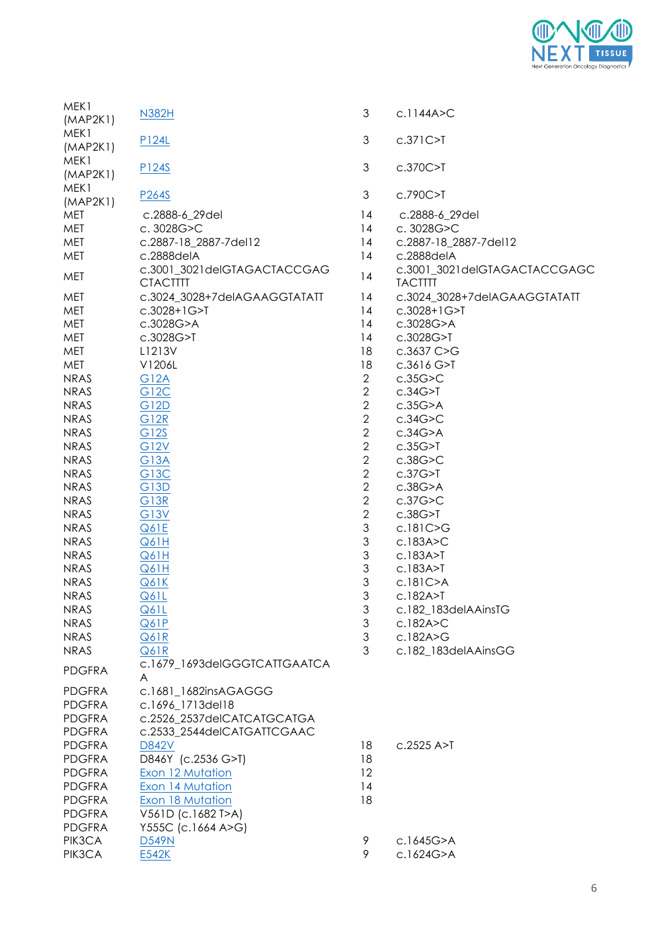

| MEK1<br>(MAP2K1) | N382H                                          | 3                         | c.1144A > C                                    |
|------------------|------------------------------------------------|---------------------------|------------------------------------------------|
| MEK1<br>(MAP2K1) | P124L                                          | 3                         | $c.371C>$ T                                    |
| MEK1<br>(MAP2K1) | P124S                                          | 3                         | c.370C>T                                       |
| MEK1<br>(MAP2K1) | P <sub>264S</sub>                              | 3                         | c.790C>T                                       |
| MET              | c.2888-6_29del                                 | 14                        | c.2888-6_29del                                 |
| MET              | c. 3028G>C                                     | 14                        | c. 3028G>C                                     |
| MET              | c.2887-18_2887-7del12                          | 14                        | c.2887-18_2887-7del12                          |
| MET              | c.2888delA                                     | 14                        | c.2888delA                                     |
| MET              | c.3001_3021delGTAGACTACCGAG<br><b>CTACTTTT</b> | 14                        | c.3001_3021delGTAGACTACCGAGC<br><b>TACTITT</b> |
| MET              | c.3024_3028+7delAGAAGGTATATT                   | 14                        | c.3024_3028+7delAGAAGGTATATT                   |
| MET              | $c.3028 + 1G > T$                              | 14                        | c.3028+1G>T                                    |
| MET              | c.3028G>A                                      | 14                        | c.3028G>A                                      |
| MET              | c.3028G>T                                      | 14                        | c.3028G>T                                      |
| MET              | L1213V                                         | 18                        | c.3637 C>G                                     |
| MET              | V1206L                                         | 18                        | c.3616 G > T                                   |
| <b>NRAS</b>      | <b>G12A</b>                                    | $\mathbf{2}$              | c.35G > C                                      |
| <b>NRAS</b>      | G12C                                           | $\sqrt{2}$                | c.34G>7                                        |
| <b>NRAS</b>      | G12D                                           | $\sqrt{2}$                | c.35G>A                                        |
| <b>NRAS</b>      | <b>G12R</b>                                    | $\sqrt{2}$                | c.34G > C                                      |
| <b>NRAS</b>      | G12S                                           | $\sqrt{2}$                | c.34G>A                                        |
| <b>NRAS</b>      | <b>G12V</b>                                    | $\sqrt{2}$                | c.35G>7                                        |
| <b>NRAS</b>      | <b>G13A</b>                                    | $\sqrt{2}$                | c.38G > C                                      |
| <b>NRAS</b>      | <b>G13C</b>                                    | $\sqrt{2}$                | c.37G>7                                        |
| <b>NRAS</b>      | G13D                                           | $\sqrt{2}$                | $c.38G$ > A                                    |
| <b>NRAS</b>      | <b>G13R</b>                                    | $\sqrt{2}$                | c.37G > C                                      |
| <b>NRAS</b>      | G13V                                           | $\sqrt{2}$                | c.38G>7                                        |
| <b>NRAS</b>      | Q61E                                           | $\mathfrak 3$             | c.181C>G                                       |
| <b>NRAS</b>      | Q61H                                           | $\ensuremath{\mathsf{3}}$ | c.183A > C                                     |
| <b>NRAS</b>      | Q61H                                           | $\mathfrak 3$             | c.183A > T                                     |
| <b>NRAS</b>      | Q61H                                           | $\mathfrak 3$             | c.183A > T                                     |
| <b>NRAS</b>      | Q61K                                           | $\mathfrak{S}$            | c.181C>A                                       |
| <b>NRAS</b>      | Q61L                                           | 3                         | c.182A > T                                     |
| <b>NRAS</b>      | Q61L                                           | 3                         | c.182_183delAAinsTG                            |
| <b>NRAS</b>      | Q61P                                           | 3                         | c.182A > C                                     |
| <b>NRAS</b>      | Q61R                                           | $\ensuremath{\mathsf{3}}$ | c.182A>G                                       |
| <b>NRAS</b>      | Q61R                                           | 3                         | c.182_183delAAinsGG                            |
| <b>PDGFRA</b>    | c.1679_1693delGGGTCATTGAATCA<br>A              |                           |                                                |
| <b>PDGFRA</b>    | c.1681_1682insAGAGGG                           |                           |                                                |
| <b>PDGFRA</b>    | c.1696_1713del18                               |                           |                                                |
| <b>PDGFRA</b>    | c.2526 2537delCATCATGCATGA                     |                           |                                                |
| <b>PDGFRA</b>    | c.2533_2544delCATGATTCGAAC                     |                           |                                                |
| <b>PDGFRA</b>    | <b>D842V</b>                                   | 18                        | $c.2525$ A $>$ T                               |
| <b>PDGFRA</b>    | D846Y (c.2536 G>T)                             | 18                        |                                                |
| <b>PDGFRA</b>    | Exon 12 Mutation                               | 12                        |                                                |
| <b>PDGFRA</b>    | Exon 14 Mutation                               | 14                        |                                                |
| <b>PDGFRA</b>    | Exon 18 Mutation                               | 18                        |                                                |
| <b>PDGFRA</b>    | V561D (c.1682 T>A)                             |                           |                                                |
| <b>PDGFRA</b>    | Y555C (c.1664 A>G)                             |                           |                                                |
| PIK3CA           | <b>D549N</b>                                   | 9                         | c.1645G>A                                      |
| PIK3CA           | E542K                                          | 9                         | c.1624G>A                                      |
|                  |                                                |                           |                                                |